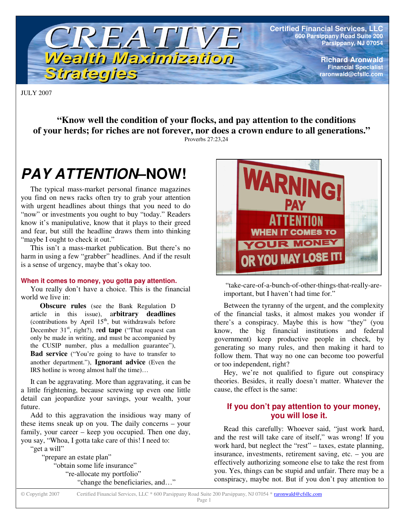

**Certified Financial Services, LLC 600 Parsippany Road Suite 200 Parsippany, NJ 07054**

> **Richard Aronwald Financial Specialist raronwald@cfsllc.com**

JULY 2007

**"Know well the condition of your flocks, and pay attention to the conditions of your herds; for riches are not forever, nor does a crown endure to all generations."** Proverbs 27:23,24

# *PAY ATTENTION***–NOW!**

The typical mass-market personal finance magazines you find on news racks often try to grab your attention with urgent headlines about things that you need to do "now" or investments you ought to buy "today." Readers know it's manipulative, know that it plays to their greed and fear, but still the headline draws them into thinking "maybe I ought to check it out."

This isn't a mass-market publication. But there's no harm in using a few "grabber" headlines. And if the result is a sense of urgency, maybe that's okay too.

#### **When it comes to money, you gotta pay attention.**

You really don't have a choice. This is the financial world we live in:

**Obscure rules** (see the Bank Regulation D article in this issue), a**rbitrary deadlines** (contributions by April  $15<sup>th</sup>$ , but withdrawals before December 31<sup>st</sup>, right?), red tape ("That request can only be made in writing, and must be accompanied by the CUSIP number, plus a medallion guarantee"), **Bad service** ("You're going to have to transfer to another department."), **Ignorant advice** (Even the IRS hotline is wrong almost half the time)…

It can be aggravating. More than aggravating, it can be a little frightening, because screwing up even one little detail can jeopardize your savings, your wealth, your future.

Add to this aggravation the insidious way many of these items sneak up on you. The daily concerns – your family, your career – keep you occupied. Then one day, you say, "Whoa, I gotta take care of this! I need to: "get a will"

"prepare an estate plan" "obtain some life insurance" "re-allocate my portfolio" "change the beneficiaries, and…"



"take-care-of-a-bunch-of-other-things-that-really-areimportant, but I haven't had time for."

Between the tyranny of the urgent, and the complexity of the financial tasks, it almost makes you wonder if there's a conspiracy. Maybe this is how "they" (you know, the big financial institutions and federal government) keep productive people in check, by generating so many rules, and then making it hard to follow them. That way no one can become too powerful or too independent, right?

Hey, we're not qualified to figure out conspiracy theories. Besides, it really doesn't matter. Whatever the cause, the effect is the same:

## **If you don't pay attention to your money, you will lose it.**

Read this carefully: Whoever said, "just work hard, and the rest will take care of itself," was wrong! If you work hard, but neglect the "rest" – taxes, estate planning, insurance, investments, retirement saving, etc. – you are effectively authorizing someone else to take the rest from you. Yes, things can be stupid and unfair. There may be a conspiracy, maybe not. But if you don't pay attention to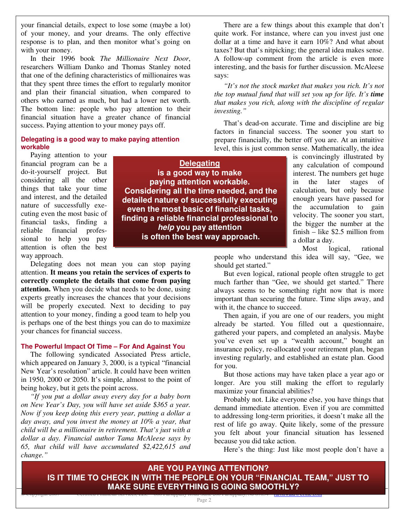your financial details, expect to lose some (maybe a lot) of your money, and your dreams. The only effective response is to plan, and then monitor what's going on with your money.

In their 1996 book *The Millionaire Next Door*, researchers William Danko and Thomas Stanley noted that one of the defining characteristics of millionaires was that they spent three times the effort to regularly monitor and plan their financial situation, when compared to others who earned as much, but had a lower net worth. The bottom line: people who pay attention to their financial situation have a greater chance of financial success. Paying attention to your money pays off.

### **Delegating is a good way to make paying attention workable**

Paying attention to your financial program can be a do-it-yourself project. But considering all the other things that take your time and interest, and the detailed nature of successfully executing even the most basic of financial tasks, finding a reliable financial professional to help you pay attention is often the best way approach.

**Delegating is a good way to make paying attention workable. Considering all the time needed, and the detailed nature of successfully executing even the most basic of financial tasks, finding a reliable financial professional to** *help* **you pay attention is often the best way approach.**

Delegating does not mean you can stop paying attention. **It means you retain the services of experts to correctly complete the details that come from paying attention.** When you decide what needs to be done, using experts greatly increases the chances that your decisions will be properly executed. Next to deciding to pay attention to your money, finding a good team to help you is perhaps one of the best things you can do to maximize your chances for financial success.

### **The Powerful Impact Of Time – For And Against You**

The following syndicated Associated Press article, which appeared on January 3, 2000, is a typical "financial New Year's resolution" article. It could have been written in 1950, 2000 or 2050. It's simple, almost to the point of being hokey, but it gets the point across.

*"If you put a dollar away every day for a baby born on New Year's Day, you will have set aside \$365 a year. Now if you keep doing this every year, putting a dollar a day away, and you invest the money at 10% a year, that child will be a millionaire in retirement. That's just with a dollar a day. Financial author Tama McAleese says by 65, that child will have accumulated \$2,422,615 and change."*

There are a few things about this example that don't quite work. For instance, where can you invest just one dollar at a time and have it earn 10%? And what about taxes? But that's nitpicking; the general idea makes sense. A follow-up comment from the article is even more interesting, and the basis for further discussion. McAleese says:

*"It's not the stock market that makes you rich. It's not the top mutual fund that will set you up for life. It's time that makes you rich, along with the discipline of regular investing."*

That's dead-on accurate. Time and discipline are big factors in financial success. The sooner you start to prepare financially, the better off you are. At an intuitive level, this is just common sense. Mathematically, the idea

is convincingly illustrated by any calculation of compound interest. The numbers get huge in the later stages of calculation, but only because enough years have passed for the accumulation to gain velocity. The sooner you start, the bigger the number at the finish – like \$2.5 million from a dollar a day.

Most logical, rational people who understand this idea will say, "Gee, we should get started."

But even logical, rational people often struggle to get much farther than "Gee, we should get started." There always seems to be something right now that is more important than securing the future. Time slips away, and with it, the chance to succeed.

Then again, if you are one of our readers, you might already be started. You filled out a questionnaire, gathered your papers, and completed an analysis. Maybe you've even set up a "wealth account," bought an insurance policy, re-allocated your retirement plan, began investing regularly, and established an estate plan. Good for you.

But those actions may have taken place a year ago or longer. Are you still making the effort to regularly maximize your financial abilities?

Probably not. Like everyone else, you have things that demand immediate attention. Even if you are committed to addressing long-term priorities, it doesn't make all the rest of life go away. Quite likely, some of the pressure you felt about your financial situation has lessened because you did take action.

Here's the thing: Just like most people don't have a

**ARE YOU PAYING ATTENTION? IS IT TIME TO CHECK IN WITH THE PEOPLE ON YOUR "FINANCIAL TEAM," JUST TO MAKE SURE EVERYTHING IS GOING SMOOTHLY?**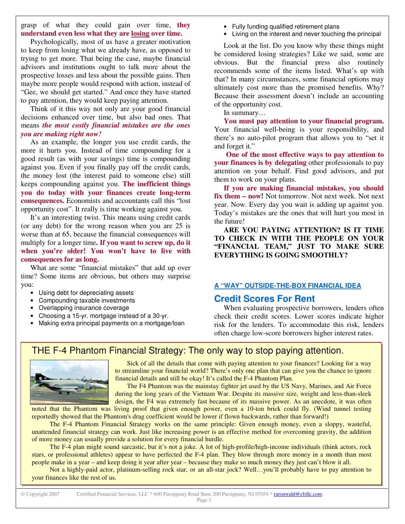grasp of what they could gain over time, **they understand even less what they are losing over time.**

Psychologically, most of us have a greater motivation to keep from losing what we already have, as opposed to trying to get more. That being the case, maybe financial advisors and institutions ought to talk more about the prospective losses and less about the possible gains. Then maybe more people would respond with action, instead of "Gee, we should get started." And once they have started to pay attention, they would keep paying attention.

Think of it this way not only are your good financial decisions enhanced over time, but also bad ones. That means *the most costly financial mistakes are the ones you are making right now!*

As an example, the longer you use credit cards, the more it hurts you. Instead of time compounding for a good result (as with your savings) time is compounding against you. Even if you finally pay off the credit cards, the money lost (the interest paid to someone else) still keeps compounding against you. **The inefficient things you do today with your finances create long-term consequences.** Economists and accountants call this "lost opportunity cost". It really is time working against you.

It's an interesting twist. This means using credit cards (or any debt) for the wrong reason when you are 25 is worse than at 65, because the financial consequences will multiply for a longer time**. If you want to screw up, do it when you're older! You won't have to live with consequences for as long.**

What are some "financial mistakes" that add up over time? Some items are obvious, but others may surprise you:

- Using debt for depreciating assets
- Compounding taxable investments
- Overlapping insurance coverage
- Choosing a 15-yr. mortgage instead of a 30-yr.
- Making extra principal payments on a mortgage/loan
- Fully funding qualified retirement plans
- Living on the interest and never touching the principal

Look at the list. Do you know why these things might be considered losing strategies? Like we said, some are obvious. But the financial press also routinely recommends some of the items listed. What's up with that? In many circumstances, some financial options may ultimately cost more than the promised benefits. Why? Because their assessment doesn't include an accounting of the opportunity cost.

In summary…

**You must pay attention to your financial program.** Your financial well-being is your responsibility, and there's no auto-pilot program that allows you to "set it and forget it."

**One of the most effective ways to pay attention to your finances is by delegating** other professionals to pay attention on your behalf. Find good advisors, and put them to work on your plans.

**If you are making financial mistakes, you should fix them – now!** Not tomorrow. Not next week. Not next year. Now. Every day you wait is adding up against you. Today's mistakes are the ones that will hurt you most in the future!

**ARE YOU PAYING ATTENTION? IS IT TIME TO CHECK IN WITH THE PEOPLE ON YOUR "FINANCIAL TEAM," JUST TO MAKE SURE EVERYTHING IS GOING SMOOTHLY?**

### **A "WAY" OUTSIDE-THE-BOX FINANCIAL IDEA**

## **Credit Scores For Rent**

When evaluating prospective borrowers, lenders often check their credit scores. Lower scores indicate higher risk for the lenders. To accommodate this risk, lenders often charge low-score borrowers higher interest rates.

# THE F-4 Phantom Financial Strategy: The only way to stop paying attention.



Sick of all the details that come with paying attention to your finances? Looking for a way to streamline your financial world? There's only one plan that can give you the chance to ignore financial details and still be okay! It's called the F-4 Phantom Plan.

The F4 Phantom was the mainstay fighter jet used by the US Navy, Marines, and Air Force during the long years of the Vietnam War. Despite its massive size, weight and less-than-sleek design, the F4 was extremely fast because of its massive power. As an anecdote, it was often noted that the Phantom was living proof that given enough power, even a 10-ton brick could fly. (Wind tunnel testing

reportedly showed that the Phantom's drag coefficient would be lower if flown backwards, rather than forward!)

The F-4 Phantom Financial Strategy works on the same principle: Given enough money, even a sloppy, wasteful, unattended financial strategy can work. Just like increasing power is an effective method for overcoming gravity, the addition of more money can usually provide a solution for every financial hurdle.

The F-4 plan might sound sarcastic, but it's not a joke. A lot of high-profile/high-income individuals (think actors, rock stars, or professional athletes) appear to have perfected the F-4 plan. They blow through more money in a month than most people make in a year – and keep doing it year after year – because they make so much money they just can't blow it all.

Not a highly-paid actor, platinum-selling rock star, or an all-star jock? Well…you'll probably have to pay attention to your finances like the rest of us.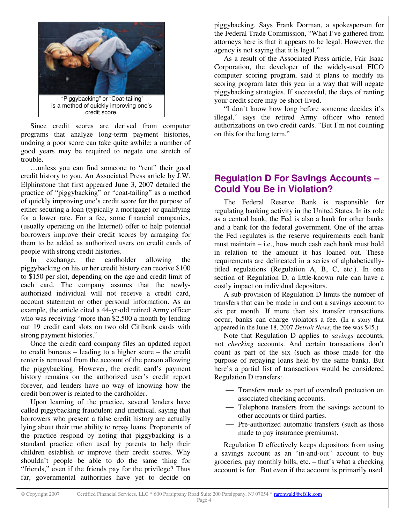

Since credit scores are derived from computer programs that analyze long-term payment histories, undoing a poor score can take quite awhile; a number of good years may be required to negate one stretch of trouble.

…unless you can find someone to "rent" their good credit history to you. An Associated Press article by J.W. Elphinstone that first appeared June 3, 2007 detailed the practice of "piggybacking" or "coat-tailing" as a method of quickly improving one's credit score for the purpose of either securing a loan (typically a mortgage) or qualifying for a lower rate. For a fee, some financial companies, (usually operating on the Internet) offer to help potential borrowers improve their credit scores by arranging for them to be added as authorized users on credit cards of people with strong credit histories.

In exchange, the cardholder allowing the piggybacking on his or her credit history can receive \$100 to \$150 per slot, depending on the age and credit limit of each card. The company assures that the newlyauthorized individual will not receive a credit card, account statement or other personal information. As an example, the article cited a 44-yr-old retired Army officer who was receiving "more than \$2,500 a month by lending out 19 credit card slots on two old Citibank cards with strong payment histories."

Once the credit card company files an updated report to credit bureaus – leading to a higher score – the credit renter is removed from the account of the person allowing the piggybacking. However, the credit card's payment history remains on the authorized user's credit report forever, and lenders have no way of knowing how the credit borrower is related to the cardholder.

Upon learning of the practice, several lenders have called piggybacking fraudulent and unethical, saying that borrowers who present a false credit history are actually lying about their true ability to repay loans. Proponents of the practice respond by noting that piggybacking is a standard practice often used by parents to help their children establish or improve their credit scores. Why shouldn't people be able to do the same thing for "friends," even if the friends pay for the privilege? Thus far, governmental authorities have yet to decide on

piggybacking. Says Frank Dorman, a spokesperson for the Federal Trade Commission, "What I've gathered from attorneys here is that it appears to be legal. However, the agency is not saying that it is legal."

As a result of the Associated Press article, Fair Isaac Corporation, the developer of the widely-used FICO computer scoring program, said it plans to modify its scoring program later this year in a way that will negate piggybacking strategies. If successful, the days of renting your credit score may be short-lived.

"I don't know how long before someone decides it's illegal," says the retired Army officer who rented authorizations on two credit cards. "But I'm not counting on this for the long term."

# **Regulation D For Savings Accounts – Could You Be in Violation?**

The Federal Reserve Bank is responsible for regulating banking activity in the United States. In its role as a central bank, the Fed is also a bank for other banks and a bank for the federal government. One of the areas the Fed regulates is the reserve requirements each bank must maintain – i.e., how much cash each bank must hold in relation to the amount it has loaned out. These requirements are delineated in a series of alphabeticallytitled regulations (Regulation A, B, C, etc.). In one section of Regulation D, a little-known rule can have a costly impact on individual depositors.

A sub-provision of Regulation D limits the number of transfers that can be made in and out a savings account to six per month. If more than six transfer transactions occur, banks can charge violators a fee. (In a story that appeared in the June 18, 2007 *Detroit News*, the fee was \$45.)

Note that Regulation D applies to *savings* accounts, not *checking* accounts. And certain transactions don't count as part of the six (such as those made for the purpose of repaying loans held by the same bank). But here's a partial list of transactions would be considered Regulation D transfers:

- Transfers made as part of overdraft protection on associated checking accounts.
- Telephone transfers from the savings account to other accounts or third parties.
- Pre-authorized automatic transfers (such as those made to pay insurance premiums).

Regulation D effectively keeps depositors from using a savings account as an "in-and-out" account to buy groceries, pay monthly bills, etc. – that's what a checking account is for. But even if the account is primarily used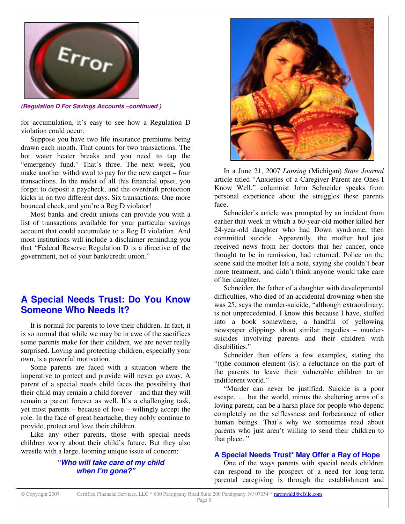

*(Regulation D For Savings Accounts –continued )*

for accumulation, it's easy to see how a Regulation D violation could occur.

Suppose you have two life insurance premiums being drawn each month. That counts for two transactions. The hot water heater breaks and you need to tap the "emergency fund." That's three. The next week, you make another withdrawal to pay for the new carpet – four transactions. In the midst of all this financial upset, you forget to deposit a paycheck, and the overdraft protection kicks in on two different days. Six transactions. One more bounced check, and you're a Reg D violator!

Most banks and credit unions can provide you with a list of transactions available for your particular savings account that could accumulate to a Reg D violation. And most institutions will include a disclaimer reminding you that "Federal Reserve Regulation D is a directive of the government, not of your bank/credit union."

# **A Special Needs Trust: Do You Know Someone Who Needs It?**

It is normal for parents to love their children. In fact, it is so normal that while we may be in awe of the sacrifices some parents make for their children, we are never really surprised. Loving and protecting children, especially your own, is a powerful motivation.

Some parents are faced with a situation where the imperative to protect and provide will never go away. A parent of a special needs child faces the possibility that their child may remain a child forever – and that they will remain a parent forever as well. It's a challenging task, yet most parents – because of love – willingly accept the role. In the face of great heartache, they nobly continue to provide, protect and love their children.

Like any other parents, those with special needs children worry about their child's future. But they also wrestle with a large, looming unique issue of concern:

### *"Who will take care of my child when I'm gone?"*



In a June 21, 2007 *Lansing* (Michigan) *State Journal* article titled "Anxieties of a Caregiver Parent are Ones I Know Well." columnist John Schneider speaks from personal experience about the struggles these parents face.

Schneider's article was prompted by an incident from earlier that week in which a 60-year-old mother killed her 24-year-old daughter who had Down syndrome, then committed suicide. Apparently, the mother had just received news from her doctors that her cancer, once thought to be in remission, had returned. Police on the scene said the mother left a note, saying she couldn't bear more treatment, and didn't think anyone would take care of her daughter.

Schneider, the father of a daughter with developmental difficulties, who died of an accidental drowning when she was 25, says the murder-suicide, "although extraordinary, is not unprecedented. I know this because I have, stuffed into a book somewhere, a handful of yellowing newspaper clippings about similar tragedies – murdersuicides involving parents and their children with disabilities."

Schneider then offers a few examples, stating the "(t)he common element (is): a reluctance on the part of the parents to leave their vulnerable children to an indifferent world."

"Murder can never be justified. Suicide is a poor escape. … but the world, minus the sheltering arms of a loving parent, can be a harsh place for people who depend completely on the selflessness and forbearance of other human beings. That's why we sometimes read about parents who just aren't willing to send their children to that place."

### **A Special Needs Trust\* May Offer a Ray of Hope**

One of the ways parents with special needs children can respond to the prospect of a need for long-term parental caregiving is through the establishment and